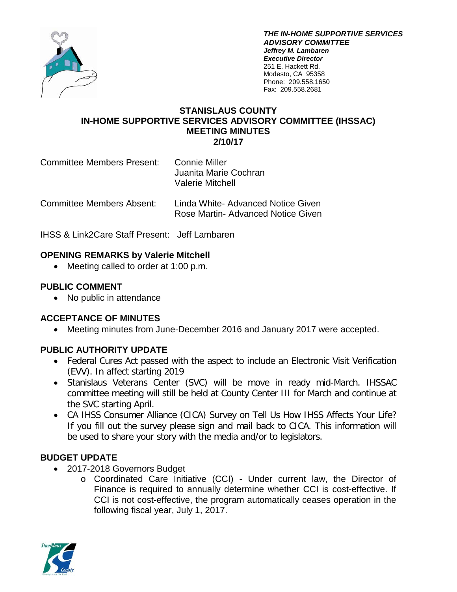

*THE IN-HOME SUPPORTIVE SERVICES ADVISORY COMMITTEE Jeffrey M. Lambaren Executive Director* 251 E. Hackett Rd. Modesto, CA 95358 Phone: 209.558.1650 Fax: 209.558.2681

#### **STANISLAUS COUNTY IN-HOME SUPPORTIVE SERVICES ADVISORY COMMITTEE (IHSSAC) MEETING MINUTES 2/10/17**

Committee Members Present: Connie Miller Juanita Marie Cochran Valerie Mitchell

Committee Members Absent: Linda White- Advanced Notice Given Rose Martin- Advanced Notice Given

IHSS & Link2Care Staff Present: Jeff Lambaren

### **OPENING REMARKS by Valerie Mitchell**

• Meeting called to order at 1:00 p.m.

### **PUBLIC COMMENT**

• No public in attendance

### **ACCEPTANCE OF MINUTES**

• Meeting minutes from June-December 2016 and January 2017 were accepted.

## **PUBLIC AUTHORITY UPDATE**

- Federal Cures Act passed with the aspect to include an Electronic Visit Verification (EVV). In affect starting 2019
- Stanislaus Veterans Center (SVC) will be move in ready mid-March. IHSSAC committee meeting will still be held at County Center III for March and continue at the SVC starting April.
- CA IHSS Consumer Alliance (CICA) Survey on Tell Us How IHSS Affects Your Life? If you fill out the survey please sign and mail back to CICA. This information will be used to share your story with the media and/or to legislators.

## **BUDGET UPDATE**

- 2017-2018 Governors Budget
	- o Coordinated Care Initiative (CCI) Under current law, the Director of Finance is required to annually determine whether CCI is cost-effective. If CCI is not cost-effective, the program automatically ceases operation in the following fiscal year, July 1, 2017.